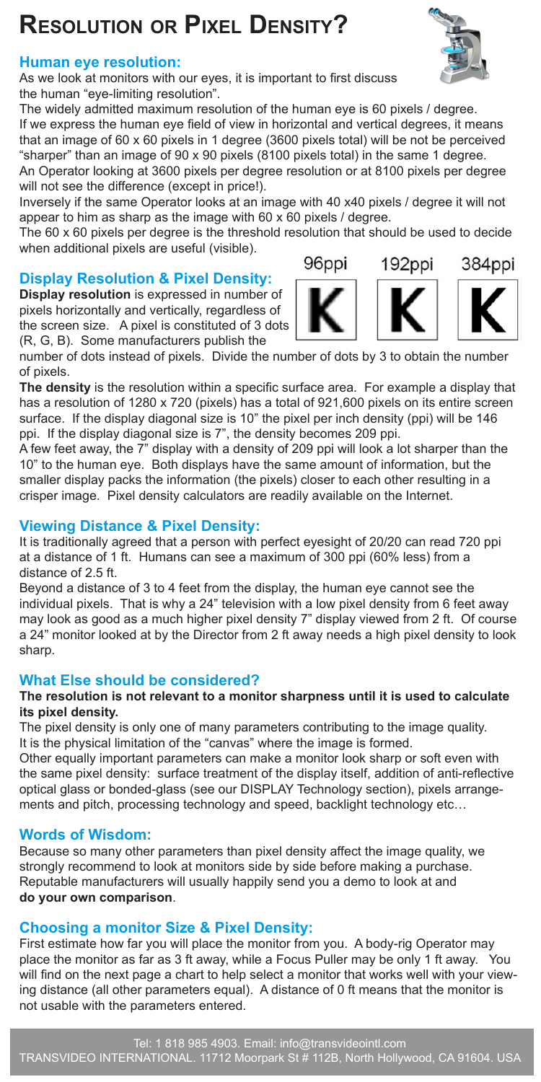# **Resolution or Pixel Density?**

## **Human eye resolution:**

As we look at monitors with our eyes, it is important to first discuss the human "eye-limiting resolution".

The widely admitted maximum resolution of the human eye is 60 pixels / degree. If we express the human eye field of view in horizontal and vertical degrees, it means that an image of 60 x 60 pixels in 1 degree (3600 pixels total) will be not be perceived "sharper" than an image of 90 x 90 pixels (8100 pixels total) in the same 1 degree. An Operator looking at 3600 pixels per degree resolution or at 8100 pixels per degree will not see the difference (except in price!).

Inversely if the same Operator looks at an image with 40 x40 pixels / degree it will not appear to him as sharp as the image with 60 x 60 pixels / degree.

The 60 x 60 pixels per degree is the threshold resolution that should be used to decide when additional pixels are useful (visible).

# **Display Resolution & Pixel Density:**

**Display resolution** is expressed in number of pixels horizontally and vertically, regardless of the screen size. A pixel is constituted of 3 dots (R, G, B). Some manufacturers publish the

number of dots instead of pixels. Divide the number of dots by 3 to obtain the number of pixels.

**The density** is the resolution within a specific surface area. For example a display that has a resolution of 1280 x 720 (pixels) has a total of 921,600 pixels on its entire screen surface. If the display diagonal size is 10" the pixel per inch density (ppi) will be 146 ppi. If the display diagonal size is 7", the density becomes 209 ppi.

A few feet away, the 7" display with a density of 209 ppi will look a lot sharper than the 10" to the human eye. Both displays have the same amount of information, but the smaller display packs the information (the pixels) closer to each other resulting in a crisper image. Pixel density calculators are readily available on the Internet.

#### **Viewing Distance & Pixel Density:**

It is traditionally agreed that a person with perfect eyesight of 20/20 can read 720 ppi at a distance of 1 ft. Humans can see a maximum of 300 ppi (60% less) from a distance of 2.5 ft.

Beyond a distance of 3 to 4 feet from the display, the human eye cannot see the individual pixels. That is why a 24" television with a low pixel density from 6 feet away may look as good as a much higher pixel density 7" display viewed from 2 ft. Of course a 24" monitor looked at by the Director from 2 ft away needs a high pixel density to look sharp.

### **What Else should be considered?**

#### **The resolution is not relevant to a monitor sharpness until it is used to calculate its pixel density.**

The pixel density is only one of many parameters contributing to the image quality. It is the physical limitation of the "canvas" where the image is formed.

Other equally important parameters can make a monitor look sharp or soft even with the same pixel density: surface treatment of the display itself, addition of anti-reflective optical glass or bonded-glass (see our DISPLAY Technology section), pixels arrangements and pitch, processing technology and speed, backlight technology etc…

### **Words of Wisdom:**

Because so many other parameters than pixel density affect the image quality, we strongly recommend to look at monitors side by side before making a purchase. Reputable manufacturers will usually happily send you a demo to look at and **do your own comparison**.

### **Choosing a monitor Size & Pixel Density:**

First estimate how far you will place the monitor from you. A body-rig Operator may place the monitor as far as 3 ft away, while a Focus Puller may be only 1 ft away. You will find on the next page a chart to help select a monitor that works well with your viewing distance (all other parameters equal). A distance of 0 ft means that the monitor is not usable with the parameters entered.